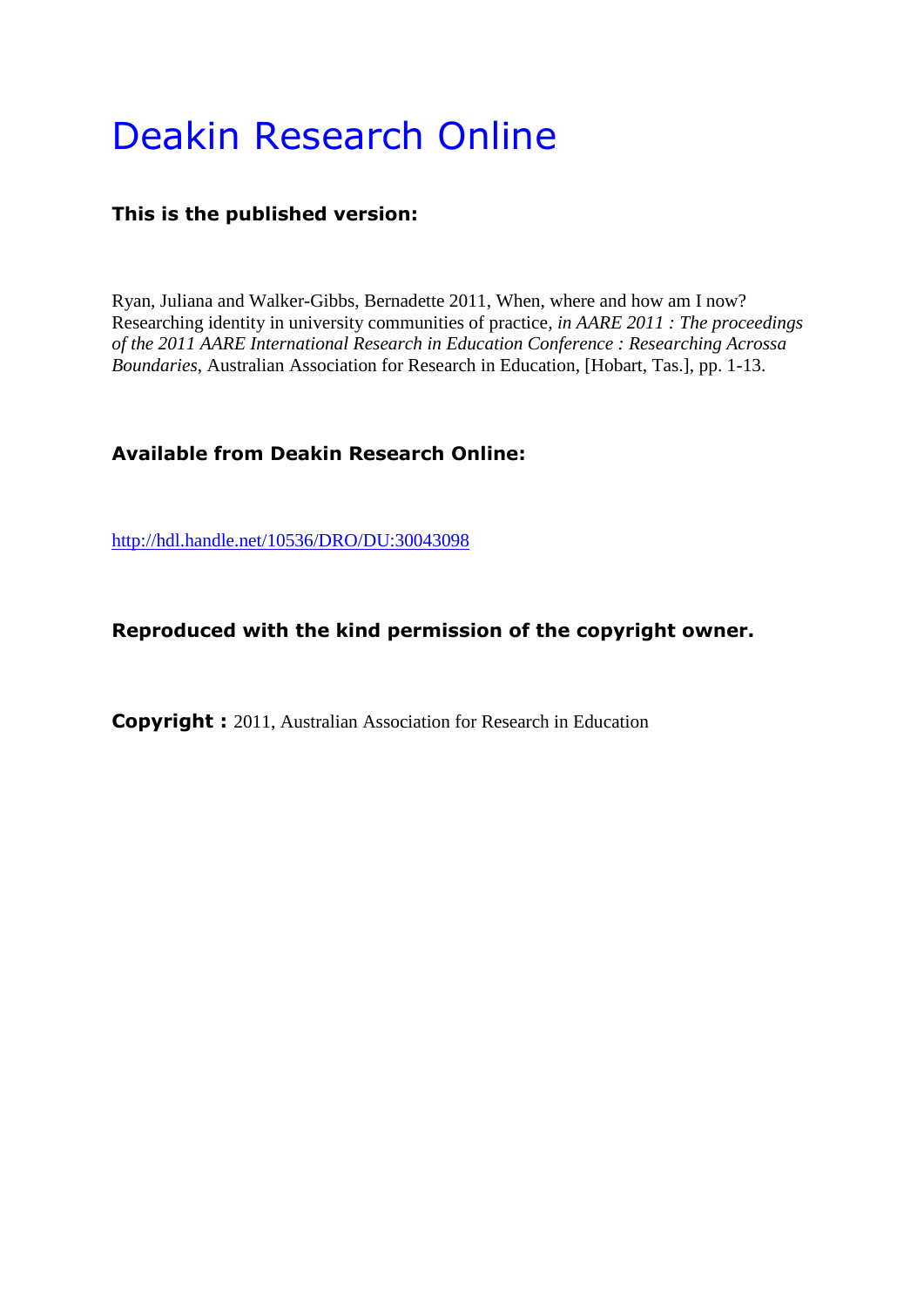# Deakin Research Online

# **This is the published version:**

Ryan, Juliana and Walker-Gibbs, Bernadette 2011, When, where and how am I now? Researching identity in university communities of practice*, in AARE 2011 : The proceedings of the 2011 AARE International Research in Education Conference : Researching Acrossa Boundaries*, Australian Association for Research in Education, [Hobart, Tas.], pp. 1-13.

# **Available from Deakin Research Online:**

<http://hdl.handle.net/10536/DRO/DU:30043098>

# **Reproduced with the kind permission of the copyright owner.**

**Copyright :** 2011, Australian Association for Research in Education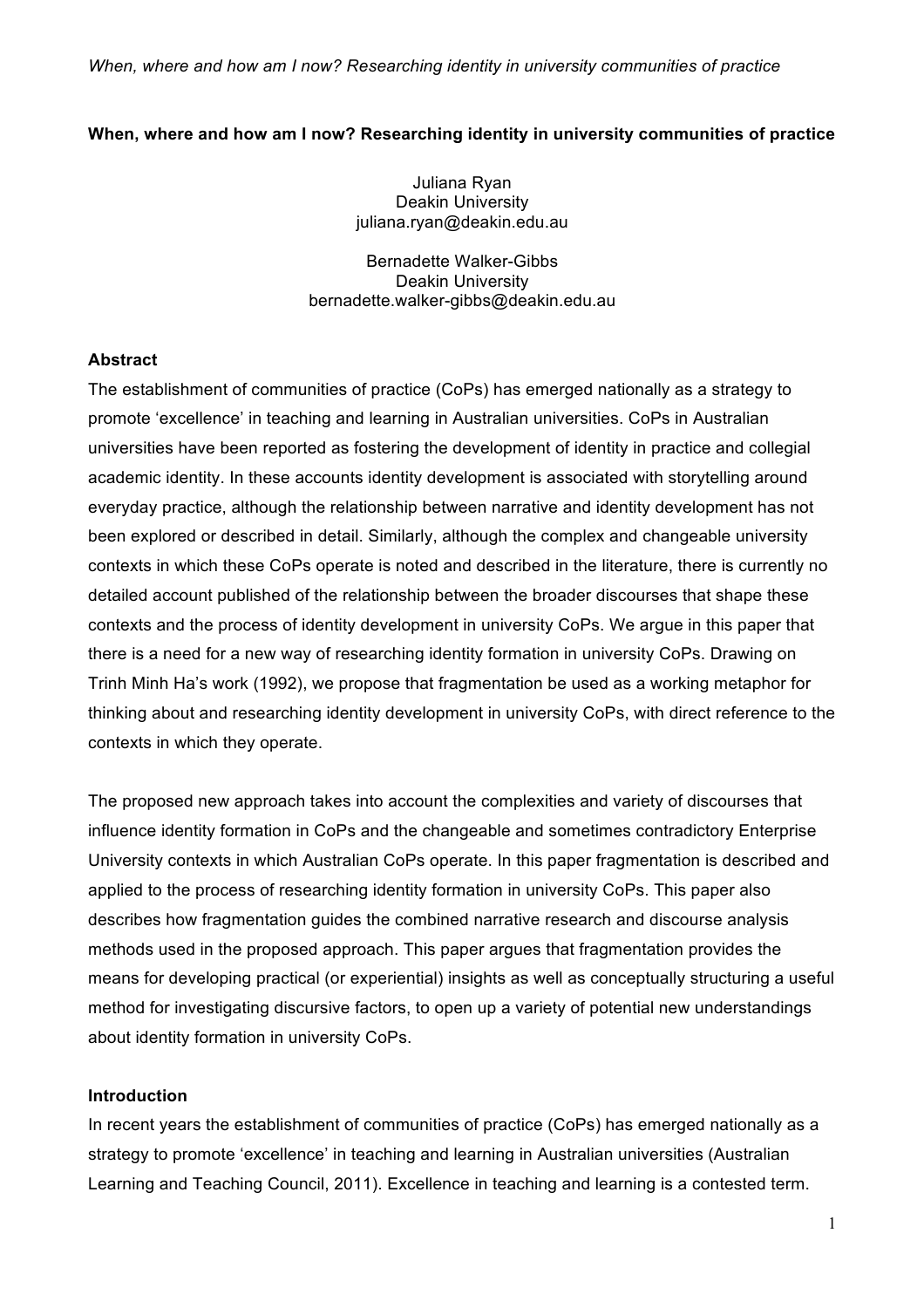## **When, where and how am I now? Researching identity in university communities of practice**

Juliana Ryan Deakin University juliana.ryan@deakin.edu.au

Bernadette Walker-Gibbs Deakin University bernadette.walker-gibbs@deakin.edu.au

#### **Abstract**

The establishment of communities of practice (CoPs) has emerged nationally as a strategy to promote 'excellence' in teaching and learning in Australian universities. CoPs in Australian universities have been reported as fostering the development of identity in practice and collegial academic identity. In these accounts identity development is associated with storytelling around everyday practice, although the relationship between narrative and identity development has not been explored or described in detail. Similarly, although the complex and changeable university contexts in which these CoPs operate is noted and described in the literature, there is currently no detailed account published of the relationship between the broader discourses that shape these contexts and the process of identity development in university CoPs. We argue in this paper that there is a need for a new way of researching identity formation in university CoPs. Drawing on Trinh Minh Ha's work (1992), we propose that fragmentation be used as a working metaphor for thinking about and researching identity development in university CoPs, with direct reference to the contexts in which they operate.

The proposed new approach takes into account the complexities and variety of discourses that influence identity formation in CoPs and the changeable and sometimes contradictory Enterprise University contexts in which Australian CoPs operate. In this paper fragmentation is described and applied to the process of researching identity formation in university CoPs. This paper also describes how fragmentation guides the combined narrative research and discourse analysis methods used in the proposed approach. This paper argues that fragmentation provides the means for developing practical (or experiential) insights as well as conceptually structuring a useful method for investigating discursive factors, to open up a variety of potential new understandings about identity formation in university CoPs.

## **Introduction**

In recent years the establishment of communities of practice (CoPs) has emerged nationally as a strategy to promote 'excellence' in teaching and learning in Australian universities (Australian Learning and Teaching Council, 2011). Excellence in teaching and learning is a contested term.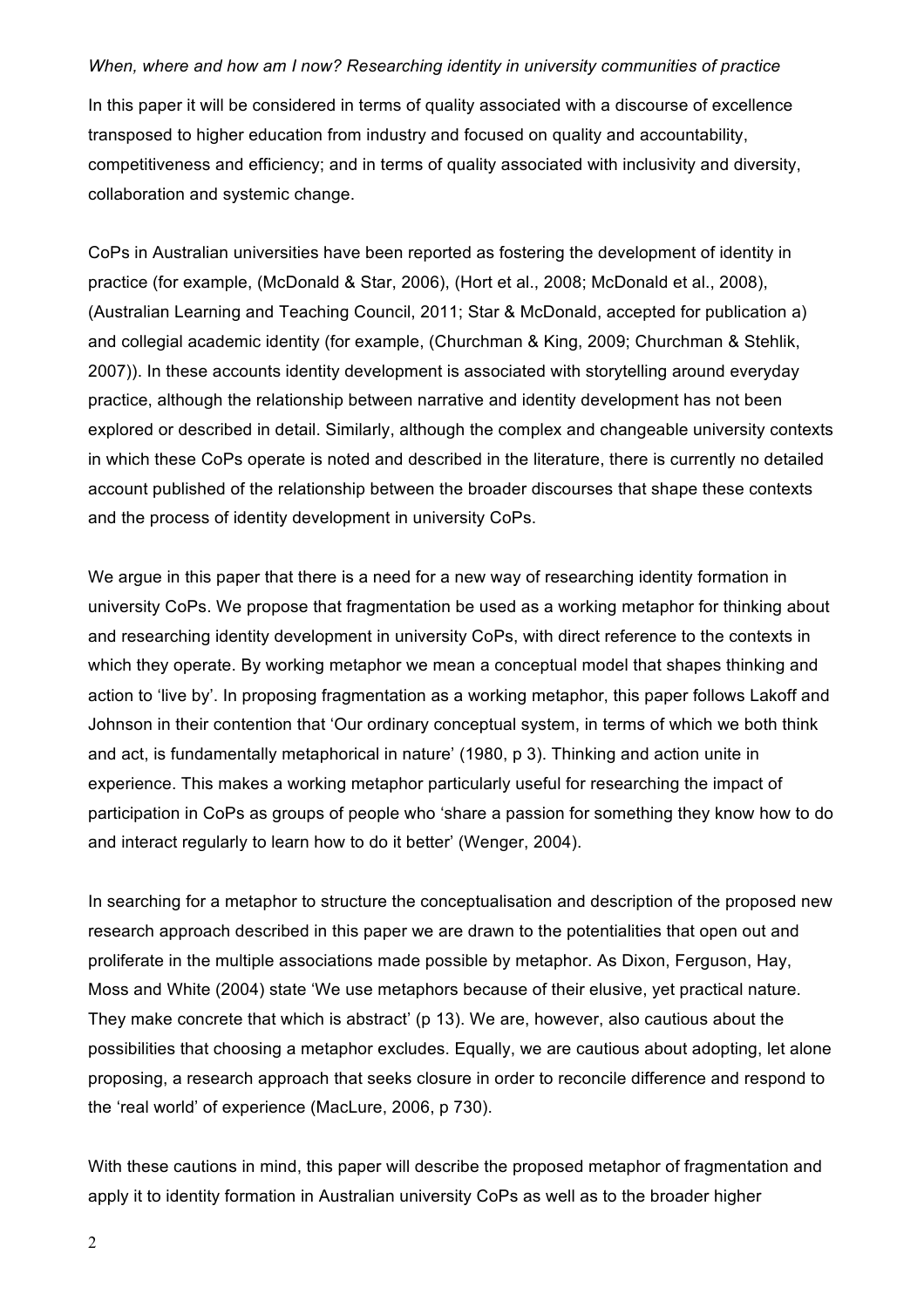In this paper it will be considered in terms of quality associated with a discourse of excellence transposed to higher education from industry and focused on quality and accountability, competitiveness and efficiency; and in terms of quality associated with inclusivity and diversity, collaboration and systemic change.

CoPs in Australian universities have been reported as fostering the development of identity in practice (for example, (McDonald & Star, 2006), (Hort et al., 2008; McDonald et al., 2008), (Australian Learning and Teaching Council, 2011; Star & McDonald, accepted for publication a) and collegial academic identity (for example, (Churchman & King, 2009; Churchman & Stehlik, 2007)). In these accounts identity development is associated with storytelling around everyday practice, although the relationship between narrative and identity development has not been explored or described in detail. Similarly, although the complex and changeable university contexts in which these CoPs operate is noted and described in the literature, there is currently no detailed account published of the relationship between the broader discourses that shape these contexts and the process of identity development in university CoPs.

We argue in this paper that there is a need for a new way of researching identity formation in university CoPs. We propose that fragmentation be used as a working metaphor for thinking about and researching identity development in university CoPs, with direct reference to the contexts in which they operate. By working metaphor we mean a conceptual model that shapes thinking and action to 'live by'. In proposing fragmentation as a working metaphor, this paper follows Lakoff and Johnson in their contention that 'Our ordinary conceptual system, in terms of which we both think and act, is fundamentally metaphorical in nature' (1980, p 3). Thinking and action unite in experience. This makes a working metaphor particularly useful for researching the impact of participation in CoPs as groups of people who 'share a passion for something they know how to do and interact regularly to learn how to do it better' (Wenger, 2004).

In searching for a metaphor to structure the conceptualisation and description of the proposed new research approach described in this paper we are drawn to the potentialities that open out and proliferate in the multiple associations made possible by metaphor. As Dixon, Ferguson, Hay, Moss and White (2004) state 'We use metaphors because of their elusive, yet practical nature. They make concrete that which is abstract' (p 13). We are, however, also cautious about the possibilities that choosing a metaphor excludes. Equally, we are cautious about adopting, let alone proposing, a research approach that seeks closure in order to reconcile difference and respond to the 'real world' of experience (MacLure, 2006, p 730).

With these cautions in mind, this paper will describe the proposed metaphor of fragmentation and apply it to identity formation in Australian university CoPs as well as to the broader higher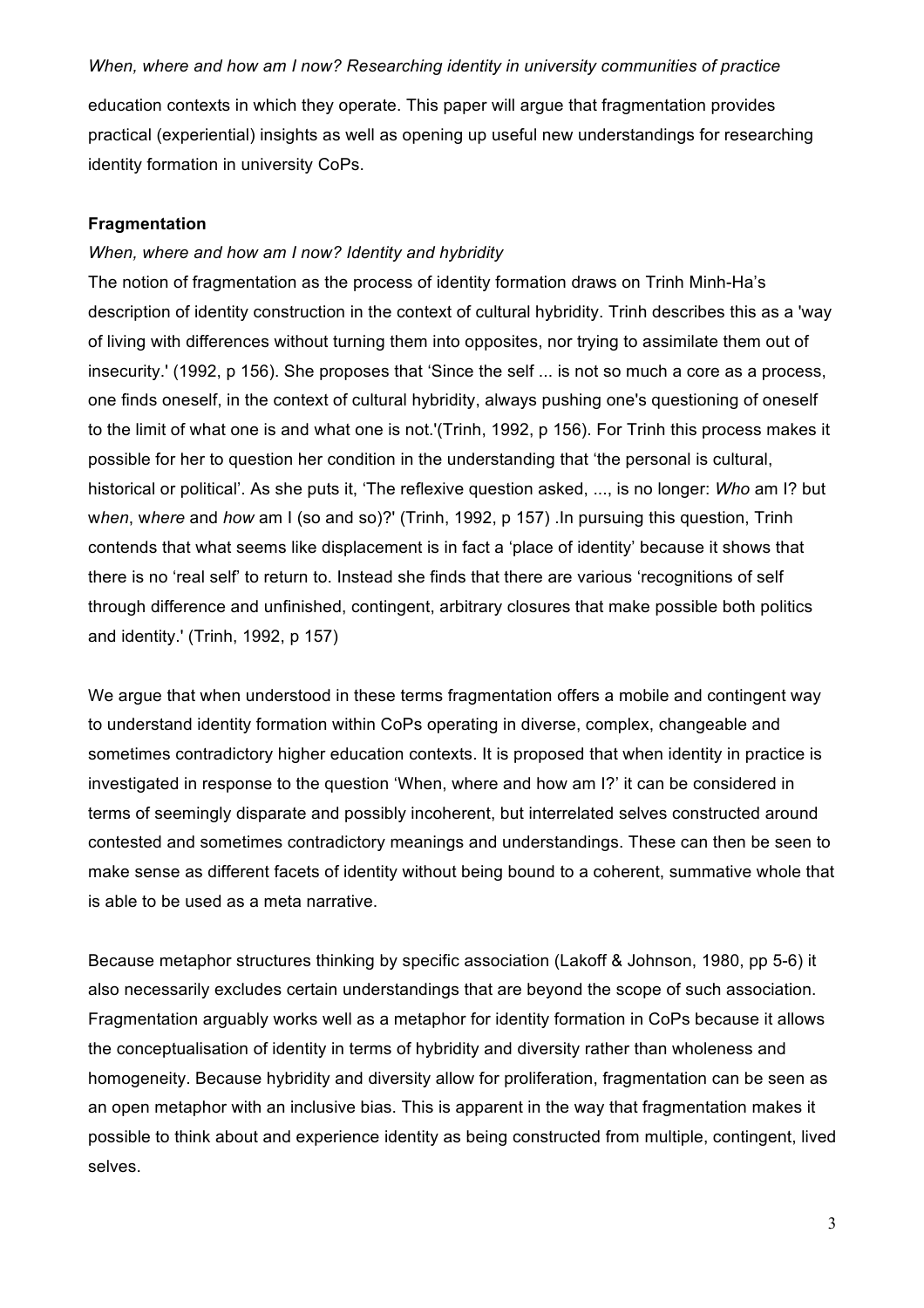education contexts in which they operate. This paper will argue that fragmentation provides practical (experiential) insights as well as opening up useful new understandings for researching identity formation in university CoPs.

## **Fragmentation**

## *When, where and how am I now? Identity and hybridity*

The notion of fragmentation as the process of identity formation draws on Trinh Minh-Ha's description of identity construction in the context of cultural hybridity. Trinh describes this as a 'way of living with differences without turning them into opposites, nor trying to assimilate them out of insecurity.' (1992, p 156). She proposes that 'Since the self ... is not so much a core as a process, one finds oneself, in the context of cultural hybridity, always pushing one's questioning of oneself to the limit of what one is and what one is not.'(Trinh, 1992, p 156). For Trinh this process makes it possible for her to question her condition in the understanding that 'the personal is cultural, historical or political'. As she puts it, 'The reflexive question asked, ..., is no longer: *Who* am I? but w*hen*, w*here* and *how* am I (so and so)?' (Trinh, 1992, p 157) .In pursuing this question, Trinh contends that what seems like displacement is in fact a 'place of identity' because it shows that there is no 'real self' to return to. Instead she finds that there are various 'recognitions of self through difference and unfinished, contingent, arbitrary closures that make possible both politics and identity.' (Trinh, 1992, p 157)

We argue that when understood in these terms fragmentation offers a mobile and contingent way to understand identity formation within CoPs operating in diverse, complex, changeable and sometimes contradictory higher education contexts. It is proposed that when identity in practice is investigated in response to the question 'When, where and how am I?' it can be considered in terms of seemingly disparate and possibly incoherent, but interrelated selves constructed around contested and sometimes contradictory meanings and understandings. These can then be seen to make sense as different facets of identity without being bound to a coherent, summative whole that is able to be used as a meta narrative.

Because metaphor structures thinking by specific association (Lakoff & Johnson, 1980, pp 5-6) it also necessarily excludes certain understandings that are beyond the scope of such association. Fragmentation arguably works well as a metaphor for identity formation in CoPs because it allows the conceptualisation of identity in terms of hybridity and diversity rather than wholeness and homogeneity. Because hybridity and diversity allow for proliferation, fragmentation can be seen as an open metaphor with an inclusive bias. This is apparent in the way that fragmentation makes it possible to think about and experience identity as being constructed from multiple, contingent, lived selves.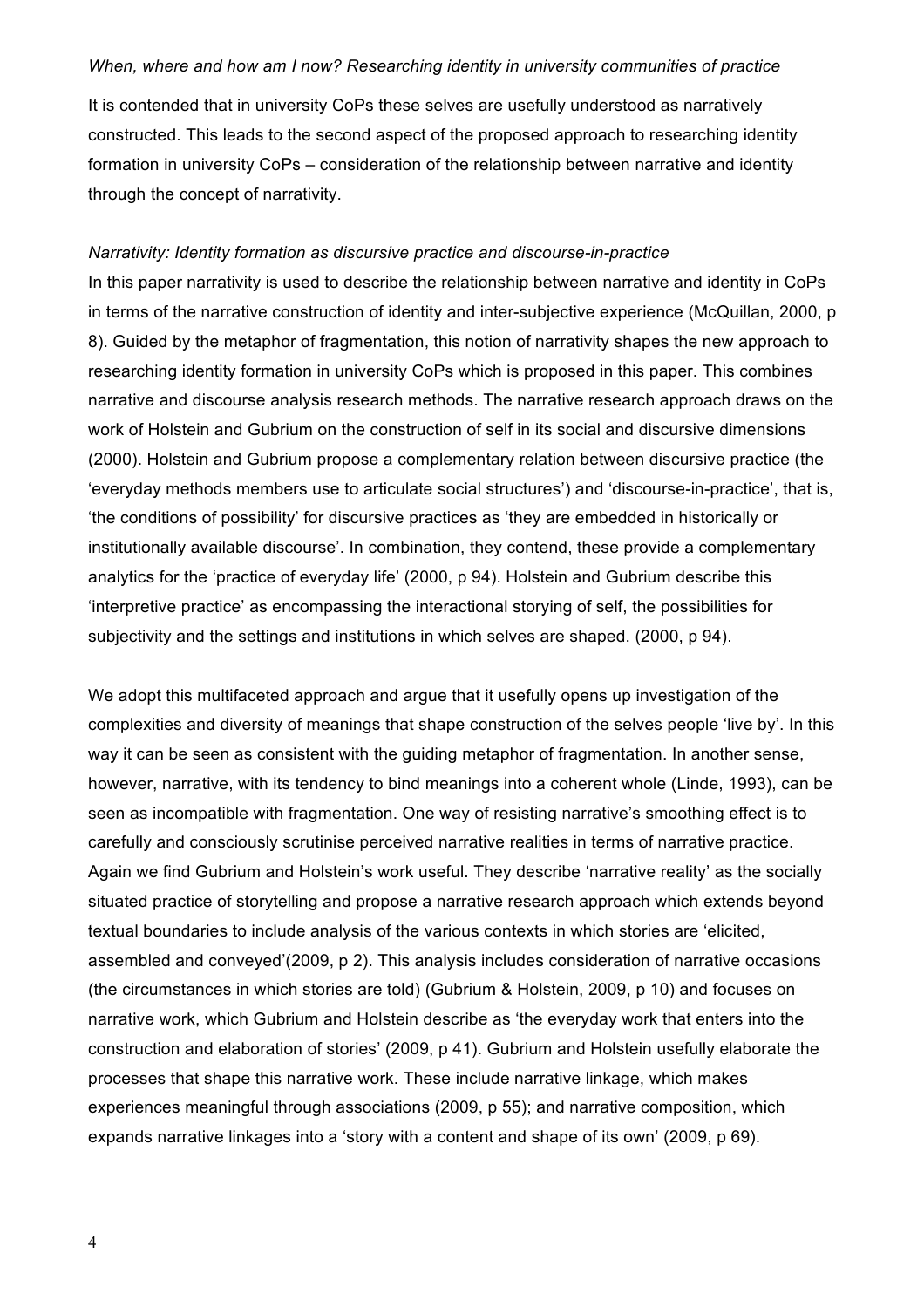It is contended that in university CoPs these selves are usefully understood as narratively constructed. This leads to the second aspect of the proposed approach to researching identity formation in university CoPs – consideration of the relationship between narrative and identity through the concept of narrativity.

#### *Narrativity: Identity formation as discursive practice and discourse-in-practice*

In this paper narrativity is used to describe the relationship between narrative and identity in CoPs in terms of the narrative construction of identity and inter-subjective experience (McQuillan, 2000, p 8). Guided by the metaphor of fragmentation, this notion of narrativity shapes the new approach to researching identity formation in university CoPs which is proposed in this paper. This combines narrative and discourse analysis research methods. The narrative research approach draws on the work of Holstein and Gubrium on the construction of self in its social and discursive dimensions (2000). Holstein and Gubrium propose a complementary relation between discursive practice (the 'everyday methods members use to articulate social structures') and 'discourse-in-practice', that is, 'the conditions of possibility' for discursive practices as 'they are embedded in historically or institutionally available discourse'. In combination, they contend, these provide a complementary analytics for the 'practice of everyday life' (2000, p 94). Holstein and Gubrium describe this 'interpretive practice' as encompassing the interactional storying of self, the possibilities for subjectivity and the settings and institutions in which selves are shaped. (2000, p 94).

We adopt this multifaceted approach and argue that it usefully opens up investigation of the complexities and diversity of meanings that shape construction of the selves people 'live by'. In this way it can be seen as consistent with the guiding metaphor of fragmentation. In another sense, however, narrative, with its tendency to bind meanings into a coherent whole (Linde, 1993), can be seen as incompatible with fragmentation. One way of resisting narrative's smoothing effect is to carefully and consciously scrutinise perceived narrative realities in terms of narrative practice. Again we find Gubrium and Holstein's work useful. They describe 'narrative reality' as the socially situated practice of storytelling and propose a narrative research approach which extends beyond textual boundaries to include analysis of the various contexts in which stories are 'elicited, assembled and conveyed'(2009, p 2). This analysis includes consideration of narrative occasions (the circumstances in which stories are told) (Gubrium & Holstein, 2009, p 10) and focuses on narrative work, which Gubrium and Holstein describe as 'the everyday work that enters into the construction and elaboration of stories' (2009, p 41). Gubrium and Holstein usefully elaborate the processes that shape this narrative work. These include narrative linkage, which makes experiences meaningful through associations (2009, p 55); and narrative composition, which expands narrative linkages into a 'story with a content and shape of its own' (2009, p 69).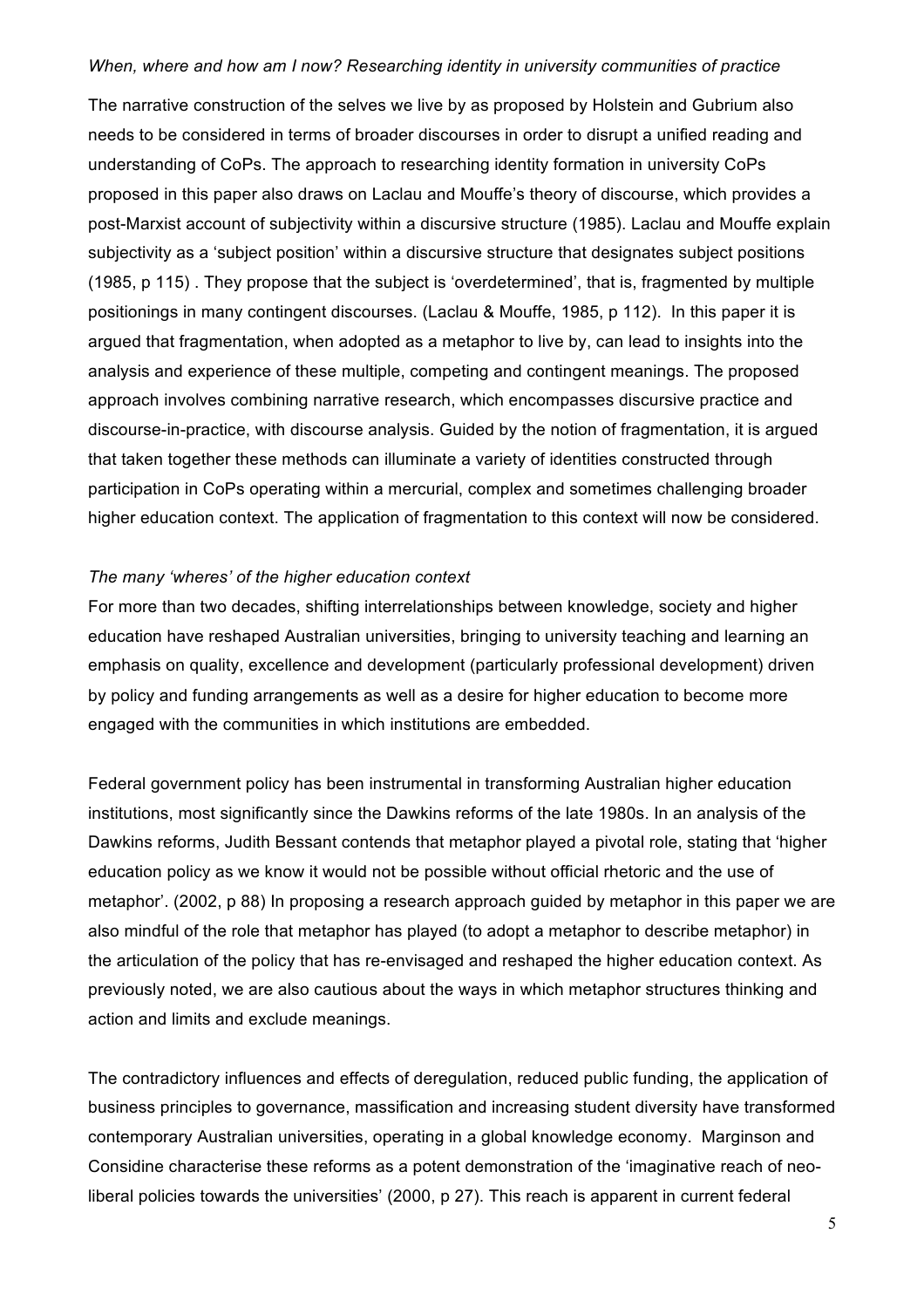The narrative construction of the selves we live by as proposed by Holstein and Gubrium also needs to be considered in terms of broader discourses in order to disrupt a unified reading and understanding of CoPs. The approach to researching identity formation in university CoPs proposed in this paper also draws on Laclau and Mouffe's theory of discourse, which provides a post-Marxist account of subjectivity within a discursive structure (1985). Laclau and Mouffe explain subjectivity as a 'subject position' within a discursive structure that designates subject positions (1985, p 115) . They propose that the subject is 'overdetermined', that is, fragmented by multiple positionings in many contingent discourses. (Laclau & Mouffe, 1985, p 112). In this paper it is argued that fragmentation, when adopted as a metaphor to live by, can lead to insights into the analysis and experience of these multiple, competing and contingent meanings. The proposed approach involves combining narrative research, which encompasses discursive practice and discourse-in-practice, with discourse analysis. Guided by the notion of fragmentation, it is argued that taken together these methods can illuminate a variety of identities constructed through participation in CoPs operating within a mercurial, complex and sometimes challenging broader higher education context. The application of fragmentation to this context will now be considered.

## *The many 'wheres' of the higher education context*

For more than two decades, shifting interrelationships between knowledge, society and higher education have reshaped Australian universities, bringing to university teaching and learning an emphasis on quality, excellence and development (particularly professional development) driven by policy and funding arrangements as well as a desire for higher education to become more engaged with the communities in which institutions are embedded.

Federal government policy has been instrumental in transforming Australian higher education institutions, most significantly since the Dawkins reforms of the late 1980s. In an analysis of the Dawkins reforms, Judith Bessant contends that metaphor played a pivotal role, stating that 'higher education policy as we know it would not be possible without official rhetoric and the use of metaphor'. (2002, p 88) In proposing a research approach guided by metaphor in this paper we are also mindful of the role that metaphor has played (to adopt a metaphor to describe metaphor) in the articulation of the policy that has re-envisaged and reshaped the higher education context. As previously noted, we are also cautious about the ways in which metaphor structures thinking and action and limits and exclude meanings.

The contradictory influences and effects of deregulation, reduced public funding, the application of business principles to governance, massification and increasing student diversity have transformed contemporary Australian universities, operating in a global knowledge economy. Marginson and Considine characterise these reforms as a potent demonstration of the 'imaginative reach of neoliberal policies towards the universities' (2000, p 27). This reach is apparent in current federal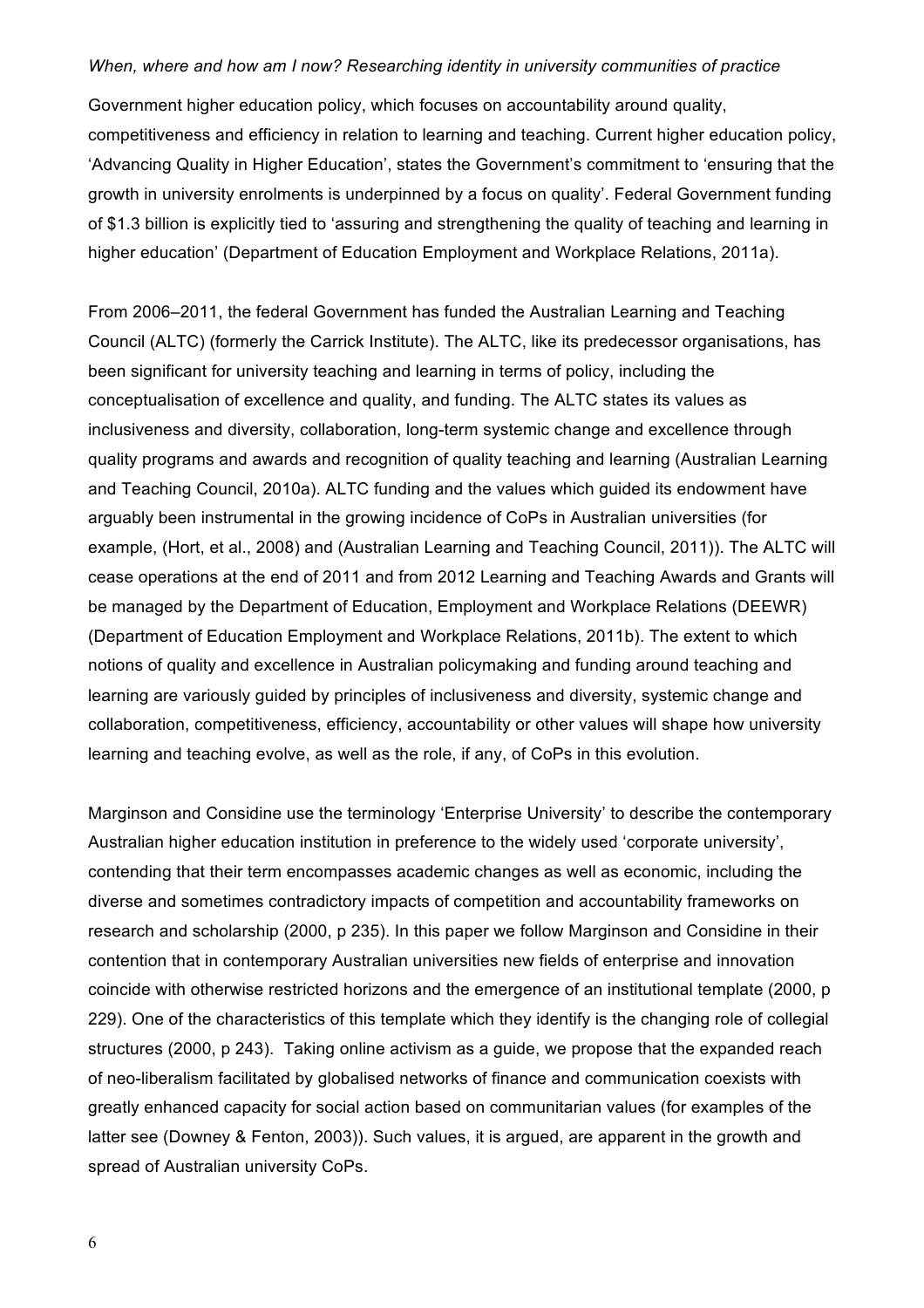Government higher education policy, which focuses on accountability around quality, competitiveness and efficiency in relation to learning and teaching. Current higher education policy, 'Advancing Quality in Higher Education', states the Government's commitment to 'ensuring that the growth in university enrolments is underpinned by a focus on quality'. Federal Government funding of \$1.3 billion is explicitly tied to 'assuring and strengthening the quality of teaching and learning in higher education' (Department of Education Employment and Workplace Relations, 2011a).

From 2006–2011, the federal Government has funded the Australian Learning and Teaching Council (ALTC) (formerly the Carrick Institute). The ALTC, like its predecessor organisations, has been significant for university teaching and learning in terms of policy, including the conceptualisation of excellence and quality, and funding. The ALTC states its values as inclusiveness and diversity, collaboration, long-term systemic change and excellence through quality programs and awards and recognition of quality teaching and learning (Australian Learning and Teaching Council, 2010a). ALTC funding and the values which guided its endowment have arguably been instrumental in the growing incidence of CoPs in Australian universities (for example, (Hort, et al., 2008) and (Australian Learning and Teaching Council, 2011)). The ALTC will cease operations at the end of 2011 and from 2012 Learning and Teaching Awards and Grants will be managed by the Department of Education, Employment and Workplace Relations (DEEWR) (Department of Education Employment and Workplace Relations, 2011b). The extent to which notions of quality and excellence in Australian policymaking and funding around teaching and learning are variously guided by principles of inclusiveness and diversity, systemic change and collaboration, competitiveness, efficiency, accountability or other values will shape how university learning and teaching evolve, as well as the role, if any, of CoPs in this evolution.

Marginson and Considine use the terminology 'Enterprise University' to describe the contemporary Australian higher education institution in preference to the widely used 'corporate university', contending that their term encompasses academic changes as well as economic, including the diverse and sometimes contradictory impacts of competition and accountability frameworks on research and scholarship (2000, p 235). In this paper we follow Marginson and Considine in their contention that in contemporary Australian universities new fields of enterprise and innovation coincide with otherwise restricted horizons and the emergence of an institutional template (2000, p 229). One of the characteristics of this template which they identify is the changing role of collegial structures (2000, p 243). Taking online activism as a guide, we propose that the expanded reach of neo-liberalism facilitated by globalised networks of finance and communication coexists with greatly enhanced capacity for social action based on communitarian values (for examples of the latter see (Downey & Fenton, 2003)). Such values, it is argued, are apparent in the growth and spread of Australian university CoPs.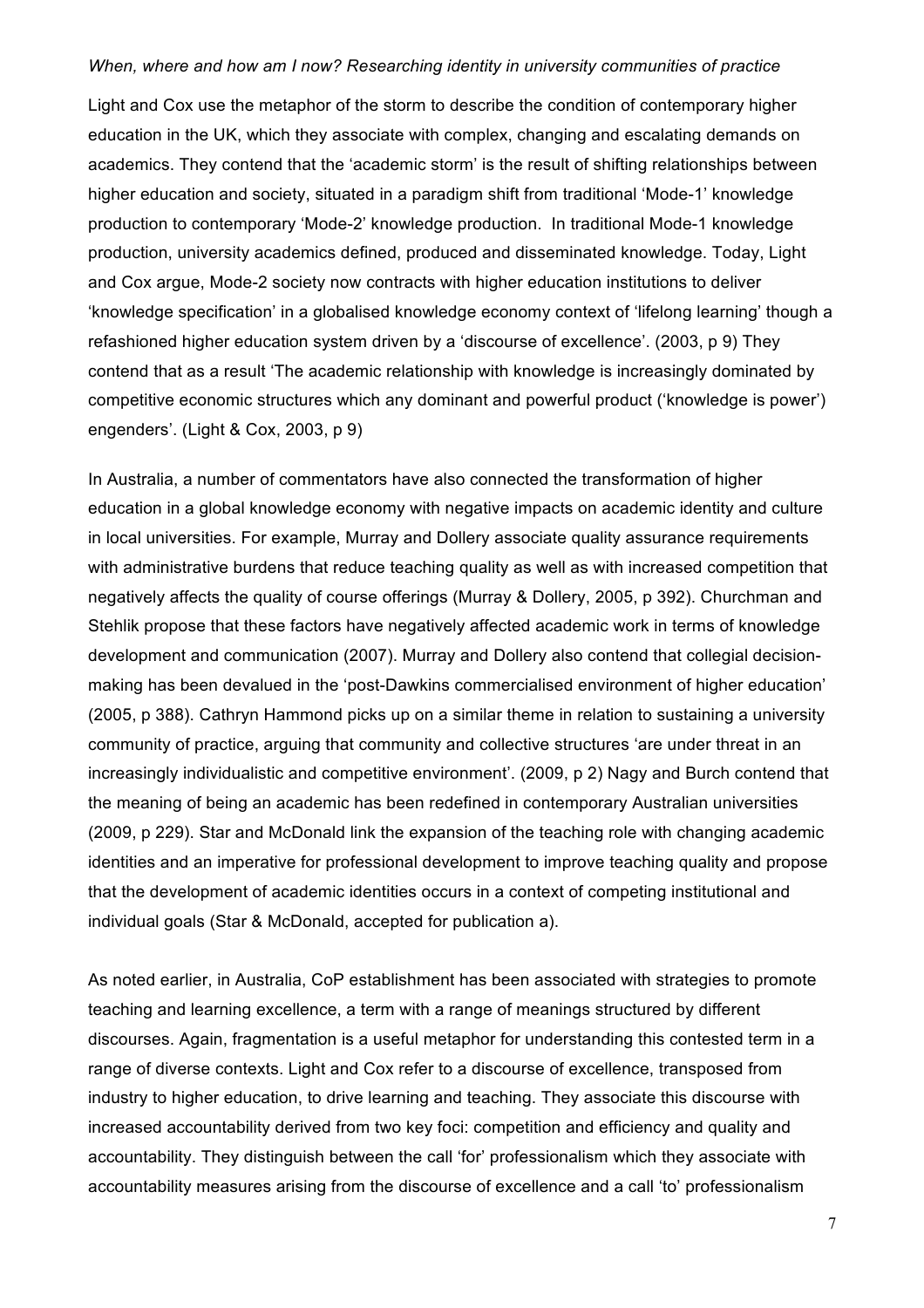Light and Cox use the metaphor of the storm to describe the condition of contemporary higher education in the UK, which they associate with complex, changing and escalating demands on academics. They contend that the 'academic storm' is the result of shifting relationships between higher education and society, situated in a paradigm shift from traditional 'Mode-1' knowledge production to contemporary 'Mode-2' knowledge production. In traditional Mode-1 knowledge production, university academics defined, produced and disseminated knowledge. Today, Light and Cox argue, Mode-2 society now contracts with higher education institutions to deliver 'knowledge specification' in a globalised knowledge economy context of 'lifelong learning' though a refashioned higher education system driven by a 'discourse of excellence'. (2003, p 9) They contend that as a result 'The academic relationship with knowledge is increasingly dominated by competitive economic structures which any dominant and powerful product ('knowledge is power') engenders'. (Light & Cox, 2003, p 9)

In Australia, a number of commentators have also connected the transformation of higher education in a global knowledge economy with negative impacts on academic identity and culture in local universities. For example, Murray and Dollery associate quality assurance requirements with administrative burdens that reduce teaching quality as well as with increased competition that negatively affects the quality of course offerings (Murray & Dollery, 2005, p 392). Churchman and Stehlik propose that these factors have negatively affected academic work in terms of knowledge development and communication (2007). Murray and Dollery also contend that collegial decisionmaking has been devalued in the 'post-Dawkins commercialised environment of higher education' (2005, p 388). Cathryn Hammond picks up on a similar theme in relation to sustaining a university community of practice, arguing that community and collective structures 'are under threat in an increasingly individualistic and competitive environment'. (2009, p 2) Nagy and Burch contend that the meaning of being an academic has been redefined in contemporary Australian universities (2009, p 229). Star and McDonald link the expansion of the teaching role with changing academic identities and an imperative for professional development to improve teaching quality and propose that the development of academic identities occurs in a context of competing institutional and individual goals (Star & McDonald, accepted for publication a).

As noted earlier, in Australia, CoP establishment has been associated with strategies to promote teaching and learning excellence, a term with a range of meanings structured by different discourses. Again, fragmentation is a useful metaphor for understanding this contested term in a range of diverse contexts. Light and Cox refer to a discourse of excellence, transposed from industry to higher education, to drive learning and teaching. They associate this discourse with increased accountability derived from two key foci: competition and efficiency and quality and accountability. They distinguish between the call 'for' professionalism which they associate with accountability measures arising from the discourse of excellence and a call 'to' professionalism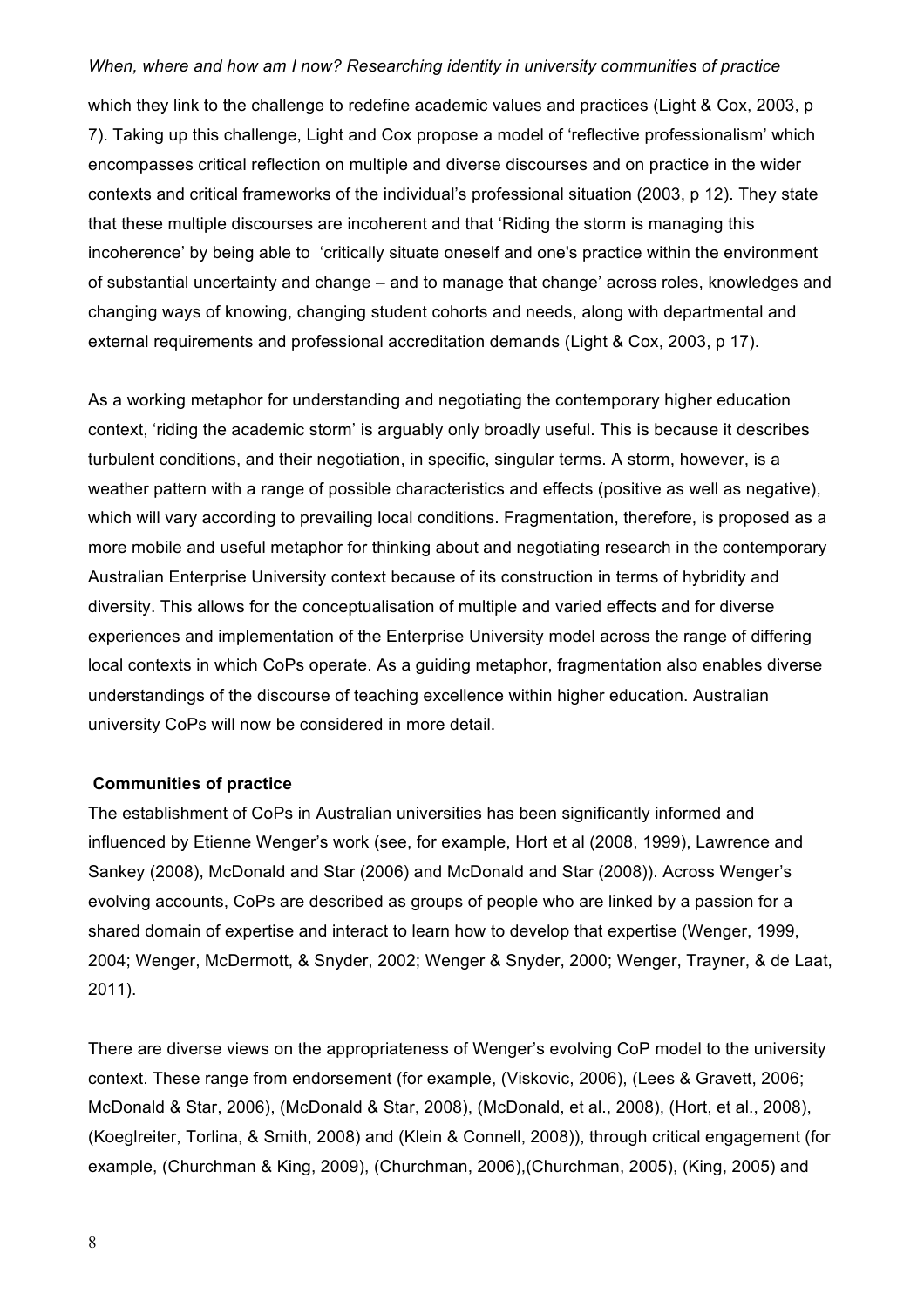which they link to the challenge to redefine academic values and practices (Light & Cox, 2003, p 7). Taking up this challenge, Light and Cox propose a model of 'reflective professionalism' which encompasses critical reflection on multiple and diverse discourses and on practice in the wider contexts and critical frameworks of the individual's professional situation (2003, p 12). They state that these multiple discourses are incoherent and that 'Riding the storm is managing this incoherence' by being able to 'critically situate oneself and one's practice within the environment of substantial uncertainty and change – and to manage that change' across roles, knowledges and changing ways of knowing, changing student cohorts and needs, along with departmental and external requirements and professional accreditation demands (Light & Cox, 2003, p 17).

As a working metaphor for understanding and negotiating the contemporary higher education context, 'riding the academic storm' is arguably only broadly useful. This is because it describes turbulent conditions, and their negotiation, in specific, singular terms. A storm, however, is a weather pattern with a range of possible characteristics and effects (positive as well as negative), which will vary according to prevailing local conditions. Fragmentation, therefore, is proposed as a more mobile and useful metaphor for thinking about and negotiating research in the contemporary Australian Enterprise University context because of its construction in terms of hybridity and diversity. This allows for the conceptualisation of multiple and varied effects and for diverse experiences and implementation of the Enterprise University model across the range of differing local contexts in which CoPs operate. As a guiding metaphor, fragmentation also enables diverse understandings of the discourse of teaching excellence within higher education. Australian university CoPs will now be considered in more detail.

## **Communities of practice**

The establishment of CoPs in Australian universities has been significantly informed and influenced by Etienne Wenger's work (see, for example, Hort et al (2008, 1999), Lawrence and Sankey (2008), McDonald and Star (2006) and McDonald and Star (2008)). Across Wenger's evolving accounts, CoPs are described as groups of people who are linked by a passion for a shared domain of expertise and interact to learn how to develop that expertise (Wenger, 1999, 2004; Wenger, McDermott, & Snyder, 2002; Wenger & Snyder, 2000; Wenger, Trayner, & de Laat, 2011).

There are diverse views on the appropriateness of Wenger's evolving CoP model to the university context. These range from endorsement (for example, (Viskovic, 2006), (Lees & Gravett, 2006; McDonald & Star, 2006), (McDonald & Star, 2008), (McDonald, et al., 2008), (Hort, et al., 2008), (Koeglreiter, Torlina, & Smith, 2008) and (Klein & Connell, 2008)), through critical engagement (for example, (Churchman & King, 2009), (Churchman, 2006),(Churchman, 2005), (King, 2005) and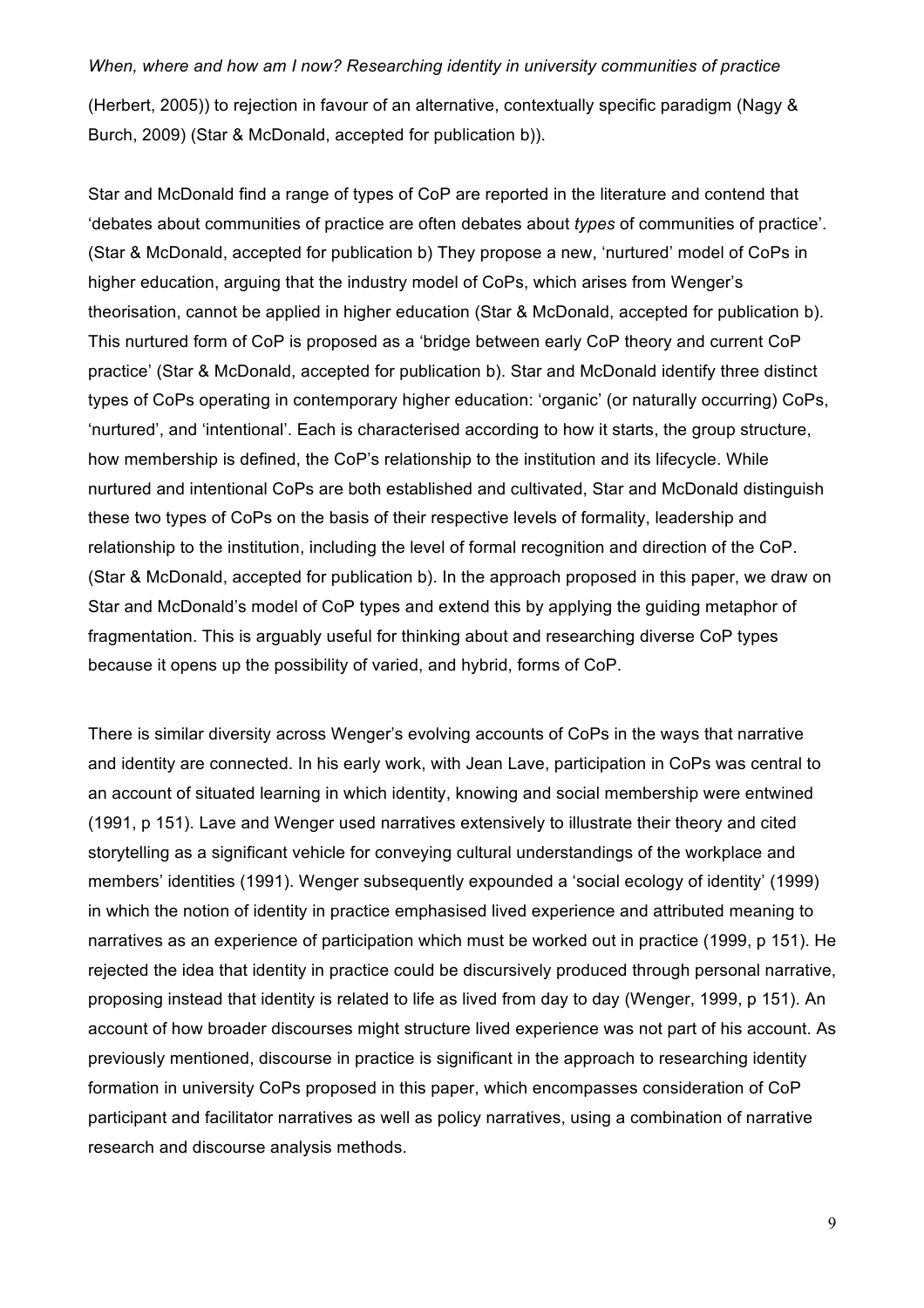(Herbert, 2005)) to rejection in favour of an alternative, contextually specific paradigm (Nagy & Burch, 2009) (Star & McDonald, accepted for publication b)).

Star and McDonald find a range of types of CoP are reported in the literature and contend that 'debates about communities of practice are often debates about *types* of communities of practice'. (Star & McDonald, accepted for publication b) They propose a new, 'nurtured' model of CoPs in higher education, arguing that the industry model of CoPs, which arises from Wenger's theorisation, cannot be applied in higher education (Star & McDonald, accepted for publication b). This nurtured form of CoP is proposed as a 'bridge between early CoP theory and current CoP practice' (Star & McDonald, accepted for publication b). Star and McDonald identify three distinct types of CoPs operating in contemporary higher education: 'organic' (or naturally occurring) CoPs, 'nurtured', and 'intentional'. Each is characterised according to how it starts, the group structure, how membership is defined, the CoP's relationship to the institution and its lifecycle. While nurtured and intentional CoPs are both established and cultivated, Star and McDonald distinguish these two types of CoPs on the basis of their respective levels of formality, leadership and relationship to the institution, including the level of formal recognition and direction of the CoP. (Star & McDonald, accepted for publication b). In the approach proposed in this paper, we draw on Star and McDonald's model of CoP types and extend this by applying the guiding metaphor of fragmentation. This is arguably useful for thinking about and researching diverse CoP types because it opens up the possibility of varied, and hybrid, forms of CoP.

There is similar diversity across Wenger's evolving accounts of CoPs in the ways that narrative and identity are connected. In his early work, with Jean Lave, participation in CoPs was central to an account of situated learning in which identity, knowing and social membership were entwined (1991, p 151). Lave and Wenger used narratives extensively to illustrate their theory and cited storytelling as a significant vehicle for conveying cultural understandings of the workplace and members' identities (1991). Wenger subsequently expounded a 'social ecology of identity' (1999) in which the notion of identity in practice emphasised lived experience and attributed meaning to narratives as an experience of participation which must be worked out in practice (1999, p 151). He rejected the idea that identity in practice could be discursively produced through personal narrative, proposing instead that identity is related to life as lived from day to day (Wenger, 1999, p 151). An account of how broader discourses might structure lived experience was not part of his account. As previously mentioned, discourse in practice is significant in the approach to researching identity formation in university CoPs proposed in this paper, which encompasses consideration of CoP participant and facilitator narratives as well as policy narratives, using a combination of narrative research and discourse analysis methods.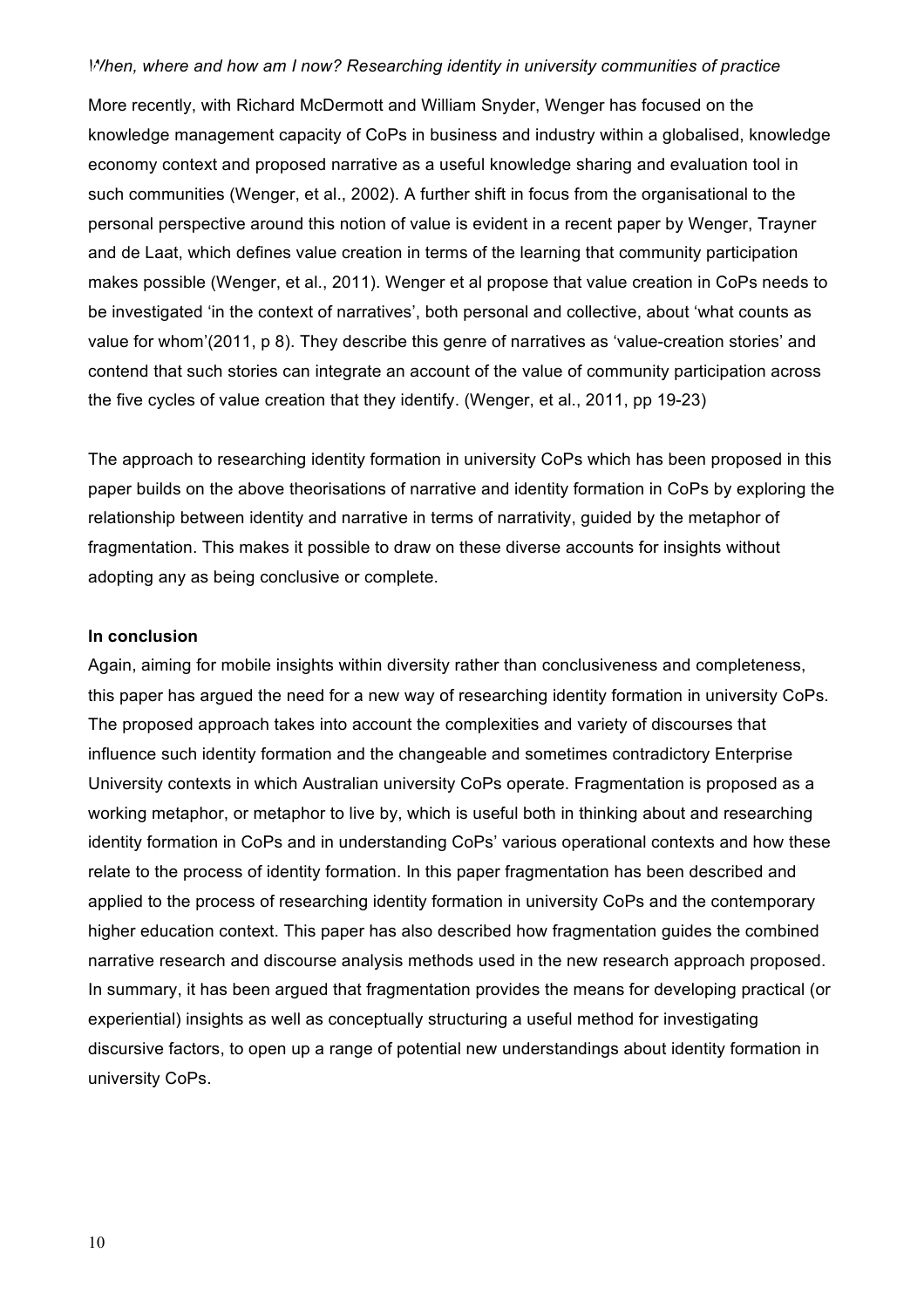More recently, with Richard McDermott and William Snyder, Wenger has focused on the knowledge management capacity of CoPs in business and industry within a globalised, knowledge economy context and proposed narrative as a useful knowledge sharing and evaluation tool in such communities (Wenger, et al., 2002). A further shift in focus from the organisational to the personal perspective around this notion of value is evident in a recent paper by Wenger, Trayner and de Laat, which defines value creation in terms of the learning that community participation makes possible (Wenger, et al., 2011). Wenger et al propose that value creation in CoPs needs to be investigated 'in the context of narratives', both personal and collective, about 'what counts as value for whom'(2011, p 8). They describe this genre of narratives as 'value-creation stories' and contend that such stories can integrate an account of the value of community participation across the five cycles of value creation that they identify. (Wenger, et al., 2011, pp 19-23)

The approach to researching identity formation in university CoPs which has been proposed in this paper builds on the above theorisations of narrative and identity formation in CoPs by exploring the relationship between identity and narrative in terms of narrativity, guided by the metaphor of fragmentation. This makes it possible to draw on these diverse accounts for insights without adopting any as being conclusive or complete.

#### **In conclusion**

Again, aiming for mobile insights within diversity rather than conclusiveness and completeness, this paper has argued the need for a new way of researching identity formation in university CoPs. The proposed approach takes into account the complexities and variety of discourses that influence such identity formation and the changeable and sometimes contradictory Enterprise University contexts in which Australian university CoPs operate. Fragmentation is proposed as a working metaphor, or metaphor to live by, which is useful both in thinking about and researching identity formation in CoPs and in understanding CoPs' various operational contexts and how these relate to the process of identity formation. In this paper fragmentation has been described and applied to the process of researching identity formation in university CoPs and the contemporary higher education context. This paper has also described how fragmentation guides the combined narrative research and discourse analysis methods used in the new research approach proposed. In summary, it has been argued that fragmentation provides the means for developing practical (or experiential) insights as well as conceptually structuring a useful method for investigating discursive factors, to open up a range of potential new understandings about identity formation in university CoPs.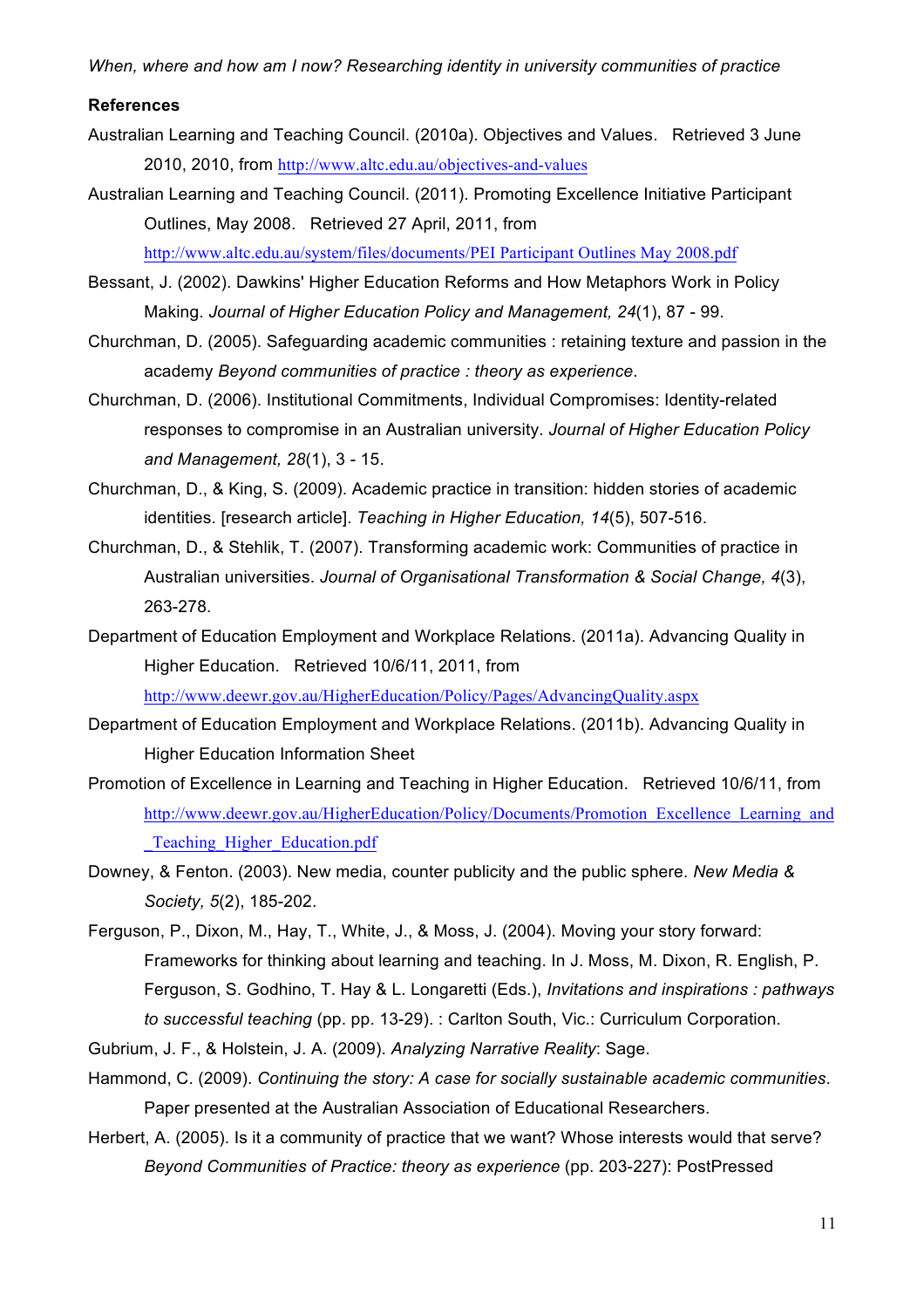#### **References**

- Australian Learning and Teaching Council. (2010a). Objectives and Values. Retrieved 3 June 2010, 2010, from http://www.altc.edu.au/objectives-and-values
- Australian Learning and Teaching Council. (2011). Promoting Excellence Initiative Participant Outlines, May 2008. Retrieved 27 April, 2011, from http://www.altc.edu.au/system/files/documents/PEI Participant Outlines May 2008.pdf
- Bessant, J. (2002). Dawkins' Higher Education Reforms and How Metaphors Work in Policy Making. *Journal of Higher Education Policy and Management, 24*(1), 87 - 99.
- Churchman, D. (2005). Safeguarding academic communities : retaining texture and passion in the academy *Beyond communities of practice : theory as experience*.
- Churchman, D. (2006). Institutional Commitments, Individual Compromises: Identity-related responses to compromise in an Australian university. *Journal of Higher Education Policy and Management, 28*(1), 3 - 15.
- Churchman, D., & King, S. (2009). Academic practice in transition: hidden stories of academic identities. [research article]. *Teaching in Higher Education, 14*(5), 507-516.
- Churchman, D., & Stehlik, T. (2007). Transforming academic work: Communities of practice in Australian universities. *Journal of Organisational Transformation & Social Change, 4*(3), 263-278.
- Department of Education Employment and Workplace Relations. (2011a). Advancing Quality in Higher Education. Retrieved 10/6/11, 2011, from

http://www.deewr.gov.au/HigherEducation/Policy/Pages/AdvancingQuality.aspx

- Department of Education Employment and Workplace Relations. (2011b). Advancing Quality in Higher Education Information Sheet
- Promotion of Excellence in Learning and Teaching in Higher Education. Retrieved 10/6/11, from http://www.deewr.gov.au/HigherEducation/Policy/Documents/Promotion\_Excellence\_Learning\_and \_Teaching\_Higher\_Education.pdf
- Downey, & Fenton. (2003). New media, counter publicity and the public sphere. *New Media & Society, 5*(2), 185-202.
- Ferguson, P., Dixon, M., Hay, T., White, J., & Moss, J. (2004). Moving your story forward: Frameworks for thinking about learning and teaching. In J. Moss, M. Dixon, R. English, P. Ferguson, S. Godhino, T. Hay & L. Longaretti (Eds.), *Invitations and inspirations : pathways to successful teaching* (pp. pp. 13-29). : Carlton South, Vic.: Curriculum Corporation.
- Gubrium, J. F., & Holstein, J. A. (2009). *Analyzing Narrative Reality*: Sage.
- Hammond, C. (2009). *Continuing the story: A case for socially sustainable academic communities*. Paper presented at the Australian Association of Educational Researchers.
- Herbert, A. (2005). Is it a community of practice that we want? Whose interests would that serve? *Beyond Communities of Practice: theory as experience* (pp. 203-227): PostPressed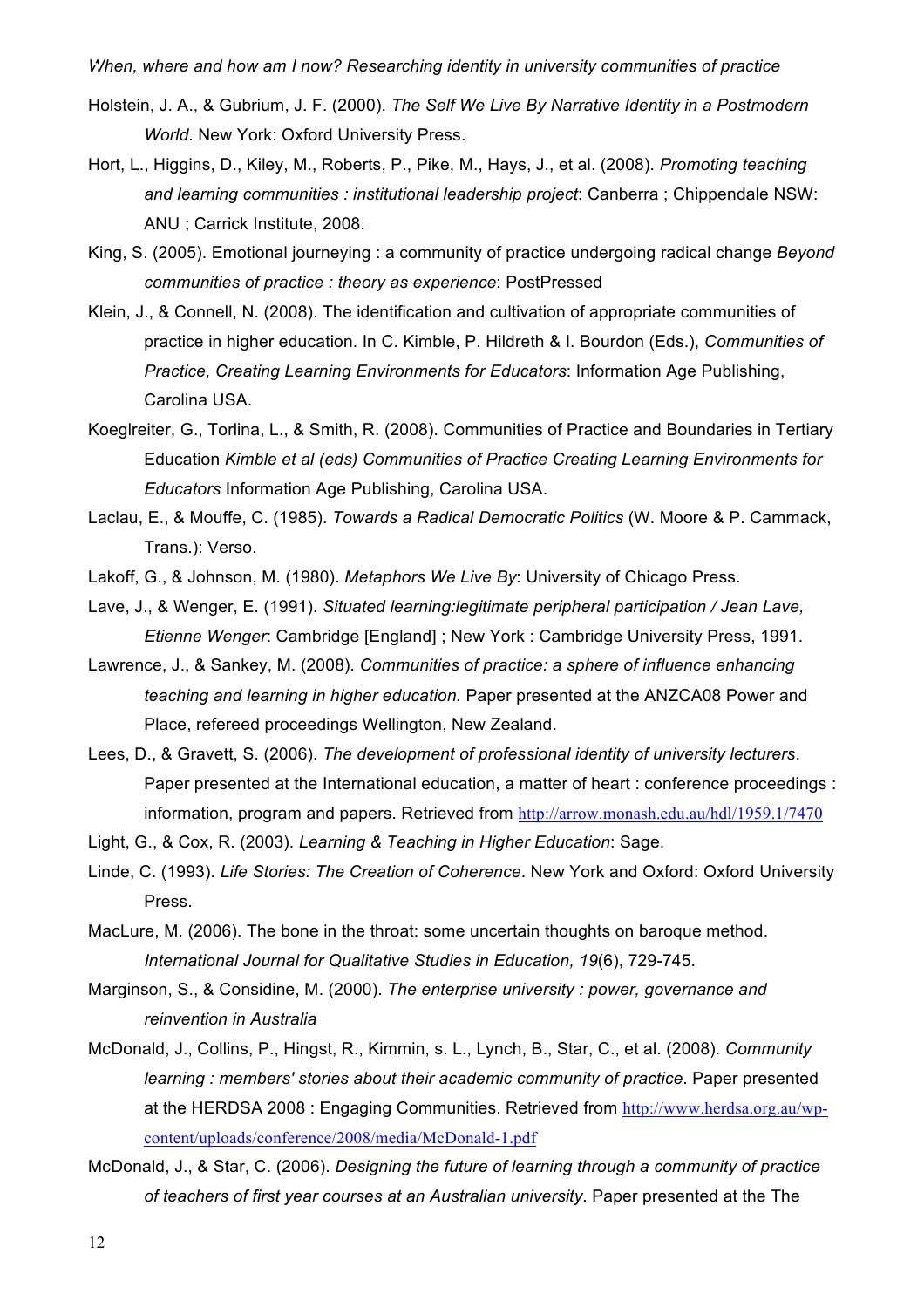- Holstein, J. A., & Gubrium, J. F. (2000). *The Self We Live By Narrative Identity in a Postmodern World*. New York: Oxford University Press.
- Hort, L., Higgins, D., Kiley, M., Roberts, P., Pike, M., Hays, J., et al. (2008). *Promoting teaching and learning communities : institutional leadership project*: Canberra ; Chippendale NSW: ANU ; Carrick Institute, 2008.
- King, S. (2005). Emotional journeying : a community of practice undergoing radical change *Beyond communities of practice : theory as experience*: PostPressed
- Klein, J., & Connell, N. (2008). The identification and cultivation of appropriate communities of practice in higher education. In C. Kimble, P. Hildreth & I. Bourdon (Eds.), *Communities of Practice, Creating Learning Environments for Educators*: Information Age Publishing, Carolina USA.
- Koeglreiter, G., Torlina, L., & Smith, R. (2008). Communities of Practice and Boundaries in Tertiary Education *Kimble et al (eds) Communities of Practice Creating Learning Environments for Educators* Information Age Publishing, Carolina USA.
- Laclau, E., & Mouffe, C. (1985). *Towards a Radical Democratic Politics* (W. Moore & P. Cammack, Trans.): Verso.
- Lakoff, G., & Johnson, M. (1980). *Metaphors We Live By*: University of Chicago Press.
- Lave, J., & Wenger, E. (1991). *Situated learning:legitimate peripheral participation / Jean Lave, Etienne Wenger*: Cambridge [England] ; New York : Cambridge University Press, 1991.
- Lawrence, J., & Sankey, M. (2008). *Communities of practice: a sphere of influence enhancing teaching and learning in higher education.* Paper presented at the ANZCA08 Power and Place, refereed proceedings Wellington, New Zealand.
- Lees, D., & Gravett, S. (2006). *The development of professional identity of university lecturers*. Paper presented at the International education, a matter of heart : conference proceedings : information, program and papers. Retrieved from http://arrow.monash.edu.au/hdl/1959.1/7470
- Light, G., & Cox, R. (2003). *Learning & Teaching in Higher Education*: Sage.
- Linde, C. (1993). *Life Stories: The Creation of Coherence*. New York and Oxford: Oxford University Press.
- MacLure, M. (2006). The bone in the throat: some uncertain thoughts on baroque method. *International Journal for Qualitative Studies in Education, 19*(6), 729-745.
- Marginson, S., & Considine, M. (2000). *The enterprise university : power, governance and reinvention in Australia*
- McDonald, J., Collins, P., Hingst, R., Kimmin, s. L., Lynch, B., Star, C., et al. (2008). *Community learning : members' stories about their academic community of practice*. Paper presented at the HERDSA 2008 : Engaging Communities. Retrieved from http://www.herdsa.org.au/wpcontent/uploads/conference/2008/media/McDonald-1.pdf
- McDonald, J., & Star, C. (2006). *Designing the future of learning through a community of practice of teachers of first year courses at an Australian university*. Paper presented at the The